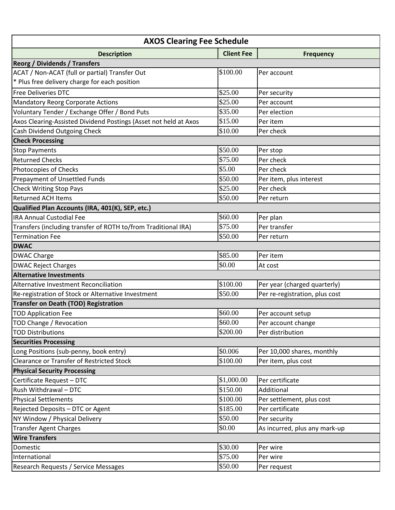| <b>AXOS Clearing Fee Schedule</b>                                |                   |                                |  |
|------------------------------------------------------------------|-------------------|--------------------------------|--|
| <b>Description</b>                                               | <b>Client Fee</b> | <b>Frequency</b>               |  |
| <b>Reorg / Dividends / Transfers</b>                             |                   |                                |  |
| ACAT / Non-ACAT (full or partial) Transfer Out                   | \$100.00          | Per account                    |  |
| * Plus free delivery charge for each position                    |                   |                                |  |
| <b>Free Deliveries DTC</b>                                       | \$25.00           | Per security                   |  |
| <b>Mandatory Reorg Corporate Actions</b>                         | \$25.00           | Per account                    |  |
| Voluntary Tender / Exchange Offer / Bond Puts                    | \$35.00           | Per election                   |  |
| Axos Clearing-Assisted Dividend Postings (Asset not held at Axos | \$15.00           | Per item                       |  |
| Cash Dividend Outgoing Check                                     | \$10.00           | Per check                      |  |
| <b>Check Processing</b>                                          |                   |                                |  |
| <b>Stop Payments</b>                                             | \$50.00           | Per stop                       |  |
| <b>Returned Checks</b>                                           | \$75.00           | Per check                      |  |
| Photocopies of Checks                                            | \$5.00            | Per check                      |  |
| Prepayment of Unsettled Funds                                    | \$50.00           | Per item, plus interest        |  |
| <b>Check Writing Stop Pays</b>                                   | \$25.00           | Per check                      |  |
| <b>Returned ACH Items</b>                                        | \$50.00           | Per return                     |  |
| Qualified Plan Accounts (IRA, 401(K), SEP, etc.)                 |                   |                                |  |
| <b>IRA Annual Custodial Fee</b>                                  | \$60.00           | Per plan                       |  |
| Transfers (including transfer of ROTH to/from Traditional IRA)   | \$75.00           | Per transfer                   |  |
| <b>Termination Fee</b>                                           | \$50.00           | Per return                     |  |
| <b>DWAC</b>                                                      |                   |                                |  |
| <b>DWAC Charge</b>                                               | \$85.00           | Per item                       |  |
| <b>DWAC Reject Charges</b>                                       | \$0.00            | At cost                        |  |
| <b>Alternative Investments</b>                                   |                   |                                |  |
| Alternative Investment Reconciliation                            | \$100.00          | Per year (charged quarterly)   |  |
| Re-registration of Stock or Alternative Investment               | \$50.00           | Per re-registration, plus cost |  |
| <b>Transfer on Death (TOD) Registration</b>                      |                   |                                |  |
| <b>TOD Application Fee</b>                                       | \$60.00           | Per account setup              |  |
| TOD Change / Revocation                                          | \$60.00           | Per account change             |  |
| <b>TOD Distributions</b>                                         | \$200.00          | Per distribution               |  |
| <b>Securities Processing</b>                                     |                   |                                |  |
| Long Positions (sub-penny, book entry)                           | \$0.006           | Per 10,000 shares, monthly     |  |
| <b>Clearance or Transfer of Restricted Stock</b>                 | \$100.00          | Per item, plus cost            |  |
| <b>Physical Security Processing</b>                              |                   |                                |  |
| Certificate Request - DTC                                        | \$1,000.00        | Per certificate                |  |
| Rush Withdrawal - DTC                                            | \$150.00          | Additional                     |  |
| <b>Physical Settlements</b>                                      | \$100.00          | Per settlement, plus cost      |  |
| Rejected Deposits - DTC or Agent                                 | \$185.00          | Per certificate                |  |
| NY Window / Physical Delivery                                    | \$50.00           | Per security                   |  |
| <b>Transfer Agent Charges</b>                                    | \$0.00            | As incurred, plus any mark-up  |  |
| <b>Wire Transfers</b>                                            |                   |                                |  |
| Domestic                                                         | \$30.00           | Per wire                       |  |
| International                                                    | \$75.00           | Per wire                       |  |
| Research Requests / Service Messages                             | \$50.00           | Per request                    |  |